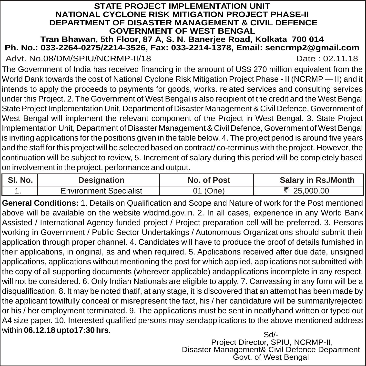#### **STATE PROJECT IMPLEMENTATION UNIT NATIONAL CYCLONE RISK MITIGATION PROJECT PHASE-II DEPARTMENT OF DISASTER MANAGEMENT & CIVIL DEFENCE GOVERNMENT OF WEST BENGAL**

#### **Tran Bhawan, 5th Floor, 87 A, S. N. Banerjee Road, Kolkata 700 014 Ph. No.: 033-2264-0275/2214-3526, Fax: 033-2214-1378, Email: sencrmp2@gmail.com**

Advt. No.08/DM/SPIU/NCRMP-II/18 Date: 02.11.18

The Government of India has received financing in the amount of US\$ 270 million equivalent from the World Dank towards the cost of National Cyclone Risk Mitigation Project Phase - II (NCRMP — II) and it intends to apply the proceeds to payments for goods, works. related services and consulting services under this Project. 2. The Government of West Bengal is also recipient of the credit and the West Bengal State Project Implementation Unit, Department of Disaster Management & Civil Defence, Government of West Bengal will implement the relevant component of the Project in West Bengal. 3. State Project Implementation Unit, Department of Disaster Management & Civil Defence, Government of West Bengal is inviting applications for the positions given in the table below. 4. The project period is around five years and the staff for this project will be selected based on contract/ co-terminus with the project. However, the continuation will be subject to review, 5. Increment of salary during this period will be completely based on involvement in the project, performance and output.

| <b>SI. No.</b> 1 | Designation                   | No. of Post | Salary in Rs./Month |
|------------------|-------------------------------|-------------|---------------------|
|                  | <b>Environment Specialist</b> | 01 (One)    | 25,000,00           |

**General Conditions:** 1. Details on Qualification and Scope and Nature of work for the Post mentioned above will be available on the website wbdmd.gov.in.  $\frac{1}{2}$ . In all cases, experience in any World Bank Assisted / International Agency funded project / Project preparation cell will be preferred. 3. Persons working in Government / Public Sector Undertakings / Autonomous Organizations should submit their application through proper channel. 4. Candidates will have to produce the proof of details furnished in their applications, in original, as and when required. 5. Applications received after due date, unsigned applications, applications without mentioning the post for which applied, applications not submitted with the copy of all supporting documents (wherever applicable) andapplications incomplete in any respect, will not be considered. 6. Only Indian Nationals are eligible to apply. 7. Canvassing in any form will be a disqualification. 8. It may be noted thatif, at any stage, it is discovered that an attempt has been made by the applicant towilfully conceal or misrepresent the fact, his / her candidature will be summarilyrejected or his / her employment terminated. 9. The applications must be sent in neatlyhand written or typed out A4 size paper. 10. Interested qualified persons may sendapplications to the above mentioned address within **06.12.18 upto17:30 hrs**. Sd/-

 Project Director, SPIU, NCRMP-II, Disaster Management& Civil Defence Department Govt. of West Bengal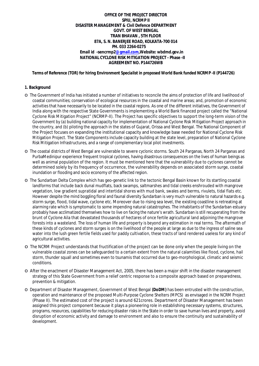### **OFFICE OF THE PROJECT DIRECTOR SPIU, NCRMP II DISASTER MANAGEMENT & Civil Defence DEPARTMENT GOVT. OF WEST BENGAL TRAN BHAVAN , 5TH FLOOR 87A, S. N. BANERJEE ROAD, KOLKATA-700 014 PH. 033 2264-0275 Email id [-sencrmp2@gmail.com,Website:](mailto:-sencrmp2@gmail.com,Website:) wbdmd.gov.in NATIONAL CYCLONE RISK MITIGATION PROJECT - Phase -II AGREEMENT NO. P144726WB**

*Terms of Reference (TOR) for hiring Environment Specialist in proposed World Bank funded NCRMP -II (P144726)* 

# **1. Background**

- o The Government of India has initiated a number of initiatives to reconcile the aims of protection of life and livelihood of coastal communities; conservation of ecological resources in the coastal and marine areas; and, promotion of economic activities that have necessarily to be located in the coastal regions. As one of the different initiatives, the Government of India along with the respective State Governments is implementing a World Bank financed project called the "National Cyclone Risk Mitigation Project" (NCRMP-II). The Project has specific objectives to support the long-term vision of the Government by (a) building national capacity for implementation of National Cyclone Risk Mitigation Project approach in the country, and (b) piloting the approach in the states of Gujarat, Orissa and West Bengal. The National Component of the Project focuses on expanding the institutional capacity and knowledge base needed for National Cyclone Risk Mitigation Project. The State Components include capacity building at the state level, preparation of National Cyclone Risk Mitigation Infrastructures, and a range of complementary local pilot investments.
- o The coastal districts of West Bengal are vulnerable to severe cyclonic storms. South 24 Parganas, North 24 Parganas and PurbaMedinipur experience frequent tropical cyclones, having disastrous consequences on the lives of human beings as well as animal population of the region. It must be mentioned here that the vulnerability due to cyclones cannot be determined solely by its frequency of occurrence, the vulnerability depends on associated storm surge, coastal inundation or flooding and socio economy of the affected region.
- o The Sundarban Delta Complex which has geo-genetic link to the tectonic Bengal Basin known for its startling coastal landforms that include back dunal mudflats, back swamps, saltmarshes and tidal creeks enshrouded with mangrove vegetation, low gradient supratidal and intertidal shores with mud bank, swales and berms, rivulets, tidal flats etc. However despite the mind boggling floral and faunal diversity Sundarban is very much vulnerable to natural hazards e.g. storm surge, flood, tidal wave, cyclone etc. Moreover due to rising sea level, the existing coastline is retreating at alarming rate which is symptomatic to some impending natural catastrophes. The inhabitants of the Sundarban estuary probably have acclimatized themselves how to live on facing the nature's wrath. Sundarban is still recuperating from the brunt of Cyclone Aila that devastated thousands of hectares of once fertile agricultural land adjoining the mangrove forests into a wasteland. The loss of human life and property is beyond any estimation in real terms. The aftermath of these kinds of cyclones and storm surges is on the livelihood of the people at large as due to the ingress of saline sea water into the lush green fertile fields used for paddy cultivation, these tracts of land rendered useless for any kind of agricultural activities.
- o The NCRM Project understands that fructification of the project can be done only when the people living on the vulnerable coastal zones can be safeguarded to a certain extent from the natural calamities like flood, cyclone, hail storm, thunder squall and sometimes even to tsunamis that occurred due to geo-morphological, climatic and seismic conditions.
- o After the enactment of Disaster Management Act, 2005, there has been a major shift in the disaster management strategy of this State Government from a relief centric response to a composite approach based on preparedness, prevention & mitigation.
- o Department of Disaster Management, Government of West Bengal **(DoDM)** has been entrusted with the construction, operation and maintenance of the proposed Multi-Purpose Cyclone Shelters (MPCS) as envisaged in the NCRM Project (Phase II). The estimated cost of the project is around 621crores. Department of Disaster Management has been assigned this project component because it plays a pioneering role in establishing necessary systems, structures, programs, resources, capabilities for reducing disaster risks in the State in order to save human lives and property, avoid disruption of economic activity and damage to environment and also to ensure the continuity and sustainability of development.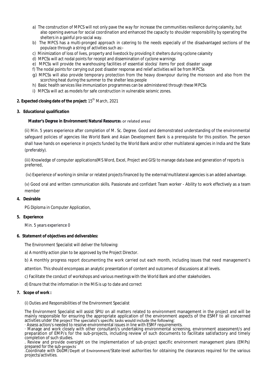- a) The construction of MPCS will not only pave the way for increase the communities resilience during calamity, but also opening avenue for social coordination and enhanced the capacity to shoulder responsibility by operating the shelters in a gainful pro-social way.
- b) The MPCS has a multi-pronged approach in catering to the needs especially of the disadvantaged sections of the populace through a string of activities such as:-
- c) Minimization of loss of lives, property and livestock by providing it shelters during cyclone calamity
- d) MPCSs will act nodal points for receipt and dissemination of cyclone warnings
- e) MPCSs will provide the warehousing facilities of essential stocks/ items for post disaster usage
- f) The nodal points for carrying out post disaster response and relief activities will be from MPCSs
- g) MPCSs will also provide temporary protection from the heavy downpour during the monsoon and also from the scorching heat during the summer to the shelter less people
- h) Basic health services like immunization programmes can be administered through these MPCSs
- i) MPCSs will act as models for safe construction in vulnerable seismic zones.

# **2. Expected closing date of the project: 15<sup>th</sup> March, 2021**

# **3. Educational qualification**

# **Master's Degree in Environment/Natural Resources or related areas**

(ii) Min. 5 years experience after completion of M. Sc. Degree. Good and demonstrated understanding of the environmental safeguard policies of agencies like World Bank and Asian Development Bank is a prerequisite for this position. The person shall have hands on experience in projects funded by the World Bank and/or other multilateral agencies in India and the State (preferably).

(iii) Knowledge of computer applications(MS Word, Excel, Project and GIS) to manage data base and generation of reports is preferred,

(iv) Experience of working in similar or related projects financed by the external/multilateral agencies is an added advantage.

(v) Good oral and written communication skills. Passionate and confidant Team worker - Ability to work effectively as a team member

# **4. Desirable**

PG Diploma in Computer Application,

# **5. Experience**

Min. 5 years experience 0

# **6. Statement of objectives and deliverables:**

The Environment Specialist will deliver the following:

a) A monthly action plan to be approved by the Project Director.

b) A monthly progress report documenting the work carried out each month, including issues that need management's

attention. This should encompass an analytic presentation of content and outcomes of discussions at all levels.

c) Facilitate the conduct of workshops and various meetings with the World Bank and other stakeholders.

d) Ensure that the information in the MIS is up to date and correct

# **7. Scope of work :**

(i) Duties and Responsibilities of the Environment Specialist

The Environment Specialist will assist SPIU on all matters related to environment management in the project and will be mainly responsible for ensuring the appropriate application of the environment aspects of the ESMF to all concerned activities under the project The specialist's specific tasks would include the following:

· Assess action/s needed to resolve environmental issues in line with ESMF requirements.

· Manage and work closely with other consultant/s undertaking environmental screening, environment assessment/s and preparation of EMP/s for the sub-projects, including review of such documents to facilitate satisfactory and timely completion of such studies.

. Review and provide oversight on the implementation of sub-project specific environment management plans (EMPs) prepared for the sub-projects

.Coordinate with DoDM/DepƩ͘ of Environment/State-level authorities for obtaining the clearances required for the various projects/activities.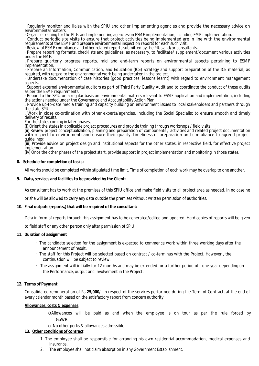· Regularly monitor and liaise with the SPIU and other implementing agencies and provide the necessary advice on environmental matters.

· Organise training for the PIUs and implementing agencies on ESMF implementation, including EMP implementation.

· Conduct periodic site visits to ensure that project activities being implemented are in line with the environmental requirements of the ESMF and prepare environmental inspection reports for each such visit.

· Review of ESMF compliance and other related reports submitted by the PIUs and/or consultants.

· Prepare reporting formats, checklists and guidelines, as necessary, to facilitate/ supplement/document various activities under the EMF.

. Prepare quarterly progress reports, mid and end-term reports on environmental aspects pertaining to ESMF implementation.

· Prepare an Information, Communication, and Education (ICE) Strategy and support preparation of the ICE material, as required, with regard to the environmental work being undertaken in the project.

· Undertake documentation of case histories (good practices, lessons learnt) with regard to environment management aspects.

· Support external environmental auditors as part of Third Party Quality Audit and to coordinate the conduct of these audits as per the ESMF requirements.

· Report to the SPIU on a regular basis on environmental matters relevant to ESMF application and implementation, including the actions needed under the Governance and Accountability Action Plan.

. Provide up-to-date media training and capacity building on environment issues to local stakeholders and partners through the state SPIU.

. Work in close co-ordination with other experts/agencies, including the Social Specialist to ensure smooth and timely delivery of results.

For the states coming in later phases.

(i) Orient the states in applicable project procedures and provide training through workshops / field visits;

(ii) Review project conceptualization, planning and preparation of components / activities and related project documentation with respect to environment; and ensure their quality, timeliness of preparation and compliance to agreed project guidelines;

(iii) Provide advice on project design and institutional aspects for the other states, in respective field, for effective project implementation.

(iv) Once the other phases of the project start, provide support in project implementation and monitoring in those states.

#### **8. Schedule for completion of tasks :**

All works should be completed within stipulated time limit. Time of completion of each work may be overlap to one another.

#### **9. Data, services and facilities to be provided by the Client:**

As consultant has to work at the premises of this SPIU office and make field visits to all project area as needed. In no case he

or she will be allowed to carry any data outside the premises without written permission of authorities.

#### **10. Final outputs (reports,) that will be required of the consultant:**

Data in form of reports through this assignment has to be generated/edited and updated. Hard copies of reports will be given

to field staff or any other person only after permission of SPIU.

#### **11. Duration of assignment**

- The candidate selected for the assignment is expected to commence work within three working days after the announcement of result.
- The staff for this Project will be selected based on contract / co-terminus with the Project. However , the continuation will be subject to review.
- The assignment will initially for 12 months and may be extended for a further period of one year depending on the Performance, output and involvement in the Project.

#### **12. Terms of Payment**

Consolidated remuneration of Rs.**25,000**/- in respect of the services performed during the Term of Contract, at the end of every calendar month based on the satisfactory report from concern authority.

#### **Allowances, costs & expenses**:

oAllowances will be paid as and when the employee is on tour as per the rule forced by GoWB.

o No other perks & allowances admissible .

#### **13. Other conditions of contract**

- 1. The employee shall be responsible for arranging his own residential accommodation, medical expenses and insurance.
- 2. The employee shall not claim absorption in any Government Establishment.